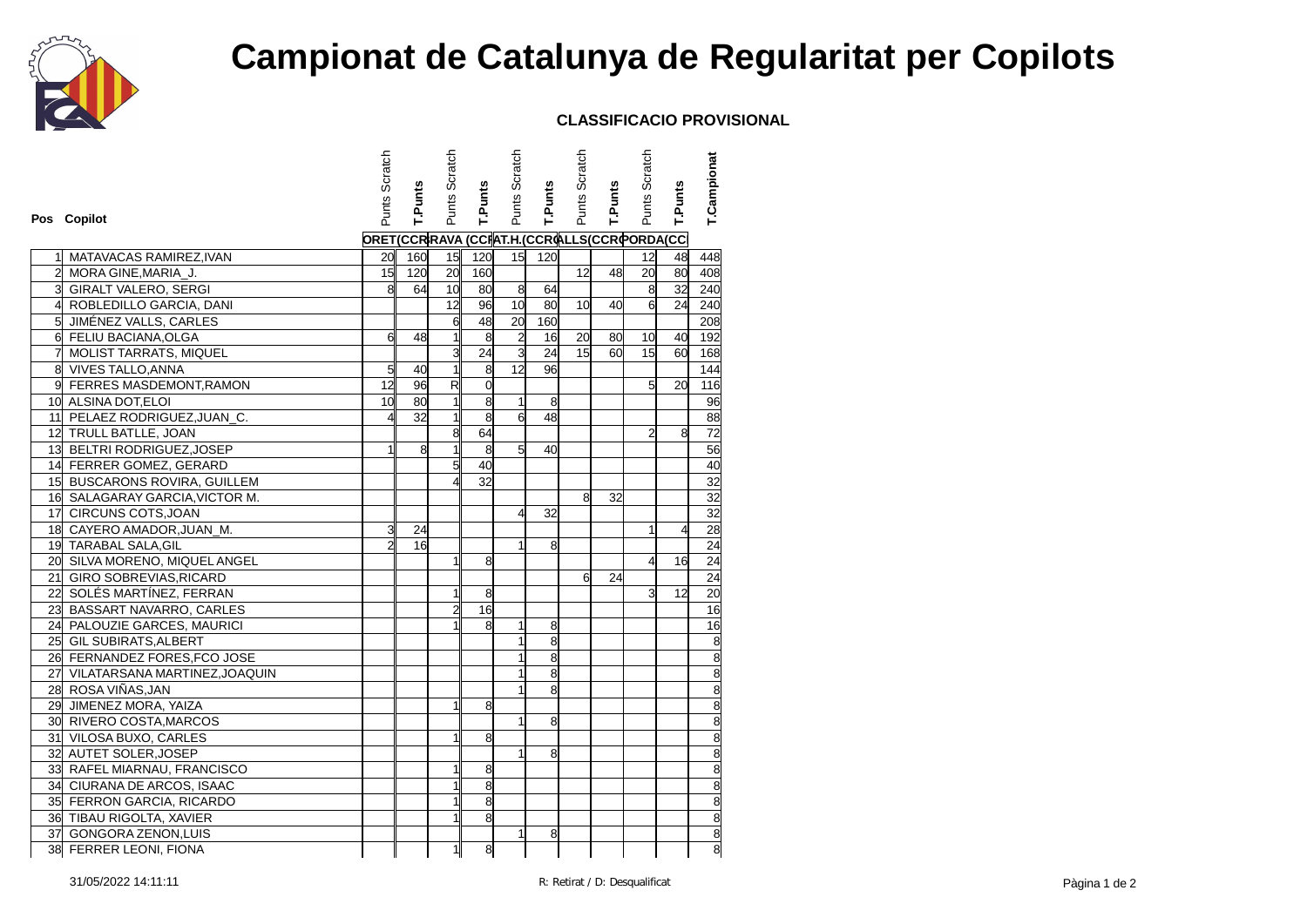

## **Campionat de Catalunya de Regularitat per Copilots**

## **CLASSIFICACIO PROVISIONAL**

|                |                                  | Punts Scratch                              |                | Punts Scratch           |                | Punts Scratch  |                | Punts Scratch   |         | Punts Scratch   |         | T.Campionat                                                             |
|----------------|----------------------------------|--------------------------------------------|----------------|-------------------------|----------------|----------------|----------------|-----------------|---------|-----------------|---------|-------------------------------------------------------------------------|
|                |                                  |                                            | <b>T.Punts</b> |                         | <b>T.Punts</b> |                | <b>T.Punts</b> |                 | T.Punts |                 | T.Punts |                                                                         |
|                | Pos Copilot                      |                                            |                |                         |                |                |                |                 |         |                 |         |                                                                         |
|                |                                  | ORET(CCRRAVA (CCRAT.H.(CCROLLS(CCROORDA(CC |                |                         |                |                |                |                 |         |                 |         |                                                                         |
|                |                                  |                                            |                |                         |                |                |                |                 |         |                 |         |                                                                         |
|                | MATAVACAS RAMIREZ, IVAN          | 20<br>15                                   | 160            | 15<br>20                | 120            | 15             | 120            | 12              |         | 12<br>20        | 48      | 448                                                                     |
| 3              | 2 MORA GINE, MARIA_J.            |                                            | 120            |                         | 160            |                |                |                 | 48      |                 | 80      | 408                                                                     |
|                | <b>GIRALT VALERO, SERGI</b>      | 8                                          | 64             | 10 <sup>1</sup><br>12   | 80             | $\infty$       | 64             |                 |         | 8               | 32      | 240                                                                     |
| 4              | ROBLEDILLO GARCIA, DANI          |                                            |                |                         | 96             | 10<br>20       | 80             | 10 <sup>l</sup> | 40      | $\overline{6}$  | 24      | 240                                                                     |
| 5 <sup>1</sup> | JIMÉNEZ VALLS, CARLES            |                                            |                | 6                       | 48             |                | 160            |                 |         |                 |         | 208                                                                     |
|                | 6 FELIU BACIANA, OLGA            | 6                                          | 48             | $\mathbf{1}$            | 8              | $\overline{2}$ | 16             | 20              | 80      | 10              | 40      | 192                                                                     |
| 7              | MOLIST TARRATS, MIQUEL           |                                            |                | $\overline{3}$          | 24             | $\overline{3}$ | 24             | 15              | 60      | 15              | 60      | 168                                                                     |
|                | 8 VIVES TALLO, ANNA              | 5<br>12                                    | 40             | $\mathbf{1}$            | 8              | 12             | 96             |                 |         |                 |         | 144                                                                     |
|                | 9 FERRES MASDEMONT, RAMON        |                                            | 96             | $\overline{\mathbf{z}}$ | $\overline{0}$ |                |                |                 |         | $5\overline{1}$ | 20      | 116                                                                     |
|                | 10 ALSINA DOT, ELOI              | 10                                         | 80             | 1                       | 8              | 1              | 8              |                 |         |                 |         | 96                                                                      |
|                | 11 PELAEZ RODRIGUEZ, JUAN_C.     | 4                                          | 32             | 1                       | $\overline{8}$ | 6              | 48             |                 |         |                 |         | 88                                                                      |
|                | 12 TRULL BATLLE, JOAN            |                                            |                | $\overline{8}$          | 64             |                |                |                 |         | $\overline{2}$  | 8       | 72                                                                      |
|                | 13 BELTRI RODRIGUEZ, JOSEP       | $\mathbf{1}$                               | 8              | $\mathbf{1}$            | 8              | $\overline{5}$ | 40             |                 |         |                 |         | 56                                                                      |
|                | 14 FERRER GOMEZ, GERARD          |                                            |                | 5 <sup>1</sup>          | 40             |                |                |                 |         |                 |         | 40                                                                      |
|                | 15 BUSCARONS ROVIRA, GUILLEM     |                                            |                |                         | 32             |                |                |                 |         |                 |         | 32                                                                      |
|                | 16 SALAGARAY GARCIA, VICTOR M.   |                                            |                |                         |                |                |                | 8               | 32      |                 |         | 32                                                                      |
|                | 17 CIRCUNS COTS, JOAN            |                                            |                |                         |                | 4              | 32             |                 |         |                 |         | 32                                                                      |
|                | 18 CAYERO AMADOR, JUAN_M.        | 3                                          | 24             |                         |                |                |                |                 |         | 1               | 4       | 28                                                                      |
|                | 19 TARABAL SALA, GIL             | $\overline{2}$                             | 16             |                         |                | $\mathbf{1}$   | 8              |                 |         |                 |         | 24                                                                      |
|                | 20 SILVA MORENO, MIQUEL ANGEL    |                                            |                |                         | 8              |                |                |                 |         | $\overline{4}$  | 16      | 24                                                                      |
|                | 21 GIRO SOBREVIAS, RICARD        |                                            |                |                         |                |                |                | 6               | 24      |                 |         | 24                                                                      |
|                | 22 SOLÉS MARTÍNEZ, FERRAN        |                                            |                | 1                       | 8              |                |                |                 |         | зI              | 12      | 20                                                                      |
|                | 23 BASSART NAVARRO, CARLES       |                                            |                | 2                       | 16             |                |                |                 |         |                 |         | 16                                                                      |
|                | 24 PALOUZIE GARCES, MAURICI      |                                            |                |                         | 8              | $\mathbf{1}$   | 8              |                 |         |                 |         | 16                                                                      |
|                | 25 GIL SUBIRATS, ALBERT          |                                            |                |                         |                | $\mathbf{1}$   | 8              |                 |         |                 |         | $\frac{8}{8}$                                                           |
|                | 26 FERNANDEZ FORES, FCO JOSE     |                                            |                |                         |                | $\mathbf{1}$   | 8              |                 |         |                 |         |                                                                         |
|                | 27 VILATARSANA MARTINEZ, JOAQUIN |                                            |                |                         |                | $\mathbf{1}$   | 8              |                 |         |                 |         |                                                                         |
|                | 28 ROSA VIÑAS, JAN               |                                            |                |                         |                |                | 8              |                 |         |                 |         |                                                                         |
|                | 29 JIMENEZ MORA, YAIZA           |                                            |                | 1                       | 8              |                |                |                 |         |                 |         |                                                                         |
|                | 30 RIVERO COSTA, MARCOS          |                                            |                |                         |                | $\mathbf{1}$   | 8              |                 |         |                 |         |                                                                         |
|                | 31 VILOSA BUXO, CARLES           |                                            |                |                         | 8              |                |                |                 |         |                 |         |                                                                         |
|                | 32 AUTET SOLER, JOSEP            |                                            |                |                         |                | $\mathbf{1}$   | 8              |                 |         |                 |         |                                                                         |
|                | 33 RAFEL MIARNAU, FRANCISCO      |                                            |                | 1                       | 8              |                |                |                 |         |                 |         |                                                                         |
|                | 34 CIURANA DE ARCOS, ISAAC       |                                            |                | 1                       | 8              |                |                |                 |         |                 |         | $\infty$ $\infty$ $\infty$ $\infty$ $\infty$ $\infty$ $\infty$ $\infty$ |
|                | 35 FERRON GARCIA, RICARDO        |                                            |                |                         | 8              |                |                |                 |         |                 |         |                                                                         |
|                | 36 TIBAU RIGOLTA, XAVIER         |                                            |                |                         | 8              |                |                |                 |         |                 |         |                                                                         |
|                | 37 GONGORA ZENON, LUIS           |                                            |                |                         |                | 1              | 8              |                 |         |                 |         |                                                                         |
|                | 38 FERRER LEONI, FIONA           |                                            |                | 1                       | $\bf8$         |                |                |                 |         |                 |         | $\overline{\mathbf{g}}$                                                 |